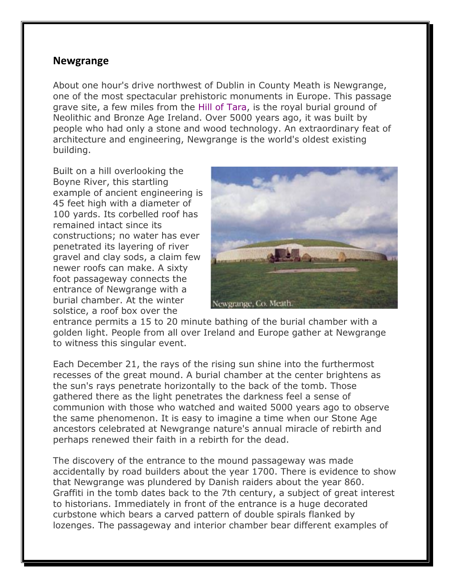## **Newgrange**

About one hour's drive northwest of Dublin in County Meath is Newgrange, one of the most spectacular prehistoric monuments in Europe. This passage grave site, a few miles from the Hill of Tara, is the royal burial ground of Neolithic and Bronze Age Ireland. Over 5000 years ago, it was built by people who had only a stone and wood technology. An extraordinary feat of architecture and engineering, Newgrange is the world's oldest existing building.

Built on a hill overlooking the Boyne River, this startling example of ancient engineering is 45 feet high with a diameter of 100 yards. Its corbelled roof has remained intact since its constructions; no water has ever penetrated its layering of river gravel and clay sods, a claim few newer roofs can make. A sixty foot passageway connects the entrance of Newgrange with a burial chamber. At the winter solstice, a roof box over the



entrance permits a 15 to 20 minute bathing of the burial chamber with a golden light. People from all over Ireland and Europe gather at Newgrange to witness this singular event.

Each December 21, the rays of the rising sun shine into the furthermost recesses of the great mound. A burial chamber at the center brightens as the sun's rays penetrate horizontally to the back of the tomb. Those gathered there as the light penetrates the darkness feel a sense of communion with those who watched and waited 5000 years ago to observe the same phenomenon. It is easy to imagine a time when our Stone Age ancestors celebrated at Newgrange nature's annual miracle of rebirth and perhaps renewed their faith in a rebirth for the dead.

The discovery of the entrance to the mound passageway was made accidentally by road builders about the year 1700. There is evidence to show that Newgrange was plundered by Danish raiders about the year 860. Graffiti in the tomb dates back to the 7th century, a subject of great interest to historians. Immediately in front of the entrance is a huge decorated curbstone which bears a carved pattern of double spirals flanked by lozenges. The passageway and interior chamber bear different examples of